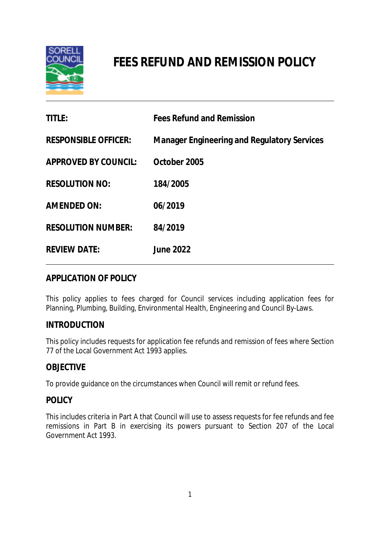

# **FEES REFUND AND REMISSION POLICY**

| <b>TITLE:</b>               | <b>Fees Refund and Remission</b>                   |
|-----------------------------|----------------------------------------------------|
| <b>RESPONSIBLE OFFICER:</b> | <b>Manager Engineering and Regulatory Services</b> |
| <b>APPROVED BY COUNCIL:</b> | October 2005                                       |
| <b>RESOLUTION NO:</b>       | 184/2005                                           |
| <b>AMENDED ON:</b>          | 06/2019                                            |
| <b>RESOLUTION NUMBER:</b>   | 84/2019                                            |
| <b>REVIEW DATE:</b>         | <b>June 2022</b>                                   |

# **APPLICATION OF POLICY**

This policy applies to fees charged for Council services including application fees for Planning, Plumbing, Building, Environmental Health, Engineering and Council By-Laws.

# **INTRODUCTION**

This policy includes requests for application fee refunds and remission of fees where Section 77 of the Local Government Act 1993 applies.

# **OBJECTIVE**

To provide guidance on the circumstances when Council will remit or refund fees.

## **POLICY**

This includes criteria in Part A that Council will use to assess requests for fee refunds and fee remissions in Part B in exercising its powers pursuant to Section 207 of the Local Government Act 1993.